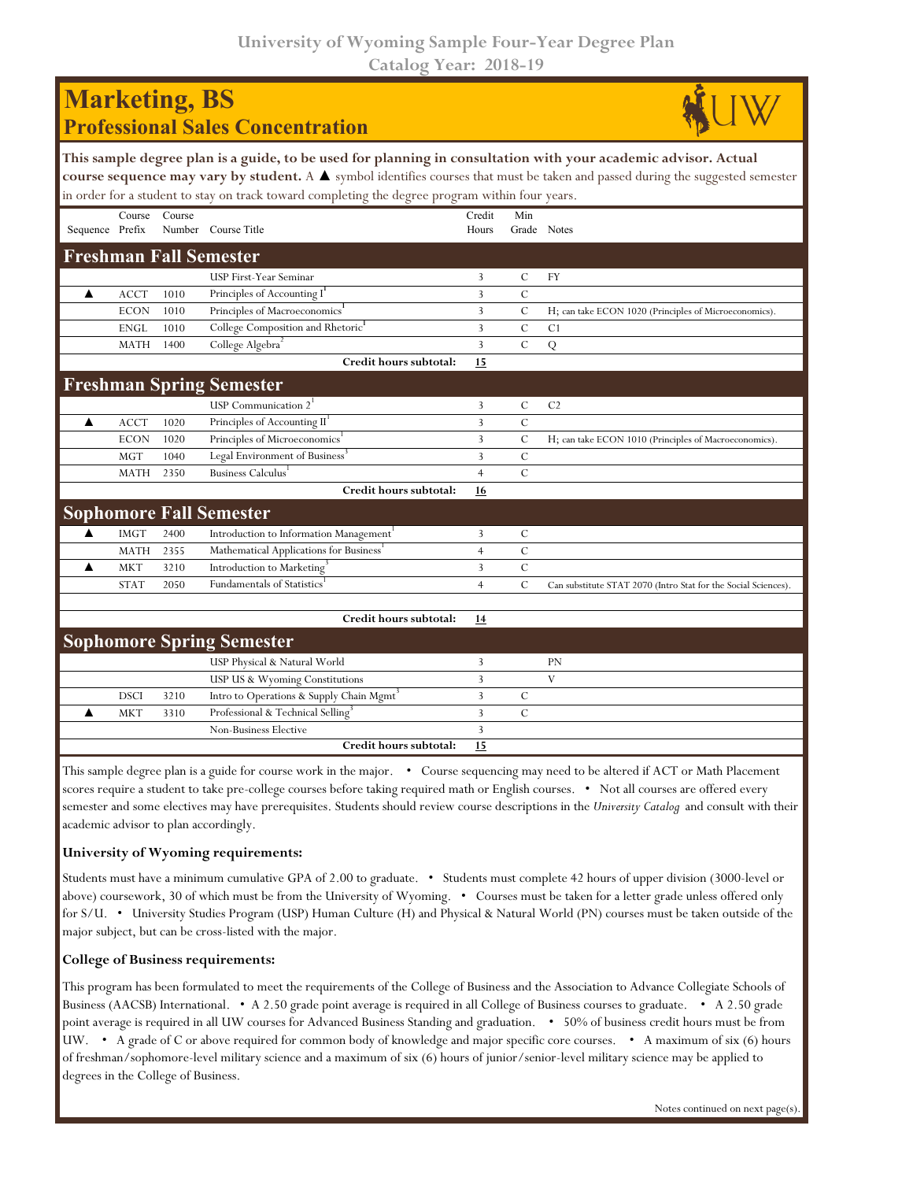**University of Wyoming Sample Four-Year Degree Plan Catalog Year: 2018-19**

| <b>Marketing, BS</b> |             |        | <b>Professional Sales Concentration</b>                                                                                                                                                                                                                                                                                                             |                 |                |                                                                |
|----------------------|-------------|--------|-----------------------------------------------------------------------------------------------------------------------------------------------------------------------------------------------------------------------------------------------------------------------------------------------------------------------------------------------------|-----------------|----------------|----------------------------------------------------------------|
|                      |             |        | This sample degree plan is a guide, to be used for planning in consultation with your academic advisor. Actual<br>course sequence may vary by student. A ▲ symbol identifies courses that must be taken and passed during the suggested semester<br>in order for a student to stay on track toward completing the degree program within four years. |                 |                |                                                                |
| Sequence Prefix      | Course      | Course | Number Course Title                                                                                                                                                                                                                                                                                                                                 | Credit<br>Hours | Min            | Grade Notes                                                    |
|                      |             |        | <b>Freshman Fall Semester</b>                                                                                                                                                                                                                                                                                                                       |                 |                |                                                                |
|                      |             |        | USP First-Year Seminar                                                                                                                                                                                                                                                                                                                              | 3               | $\mathcal{C}$  | FY                                                             |
| ▲                    | <b>ACCT</b> | 1010   | Principles of Accounting I                                                                                                                                                                                                                                                                                                                          | 3               | $\mathcal{C}$  |                                                                |
|                      | <b>ECON</b> | 1010   | Principles of Macroeconomics <sup>1</sup>                                                                                                                                                                                                                                                                                                           | 3               | C              | H; can take ECON 1020 (Principles of Microeconomics).          |
|                      | <b>ENGL</b> | 1010   | College Composition and Rhetoric <sup>1</sup>                                                                                                                                                                                                                                                                                                       | 3               | $\mathcal{C}$  | C1                                                             |
|                      | <b>MATH</b> | 1400   | College Algebra                                                                                                                                                                                                                                                                                                                                     | 3               | $\overline{C}$ | Q                                                              |
|                      |             |        | Credit hours subtotal:                                                                                                                                                                                                                                                                                                                              | 15              |                |                                                                |
|                      |             |        | <b>Freshman Spring Semester</b>                                                                                                                                                                                                                                                                                                                     |                 |                |                                                                |
|                      |             |        | USP Communication $2^1$                                                                                                                                                                                                                                                                                                                             | 3               | $\mathcal{C}$  | C <sub>2</sub>                                                 |
| ▲                    | <b>ACCT</b> | 1020   | Principles of Accounting II <sup>1</sup>                                                                                                                                                                                                                                                                                                            | 3               | $\mathcal{C}$  |                                                                |
|                      | <b>ECON</b> | 1020   | Principles of Microeconomics <sup>1</sup>                                                                                                                                                                                                                                                                                                           | 3               | $\mathcal{C}$  | H; can take ECON 1010 (Principles of Macroeconomics).          |
|                      | <b>MGT</b>  | 1040   | Legal Environment of Business <sup>3</sup>                                                                                                                                                                                                                                                                                                          | 3               | $\mathcal{C}$  |                                                                |
|                      | MATH        | 2350   | Business Calculus                                                                                                                                                                                                                                                                                                                                   | $\overline{4}$  | $\mathcal{C}$  |                                                                |
|                      |             |        | Credit hours subtotal:                                                                                                                                                                                                                                                                                                                              | 16              |                |                                                                |
|                      |             |        | <b>Sophomore Fall Semester</b>                                                                                                                                                                                                                                                                                                                      |                 |                |                                                                |
| ▲                    | <b>IMGT</b> | 2400   | Introduction to Information Management <sup>1</sup>                                                                                                                                                                                                                                                                                                 | 3               | $\mathcal{C}$  |                                                                |
|                      | MATH        | 2355   | Mathematical Applications for Business'                                                                                                                                                                                                                                                                                                             | $\overline{4}$  | $\mathcal{C}$  |                                                                |
|                      | <b>MKT</b>  | 3210   | Introduction to Marketing <sup>3</sup>                                                                                                                                                                                                                                                                                                              | 3               | $\overline{C}$ |                                                                |
|                      | <b>STAT</b> | 2050   | <b>Fundamentals of Statistics</b>                                                                                                                                                                                                                                                                                                                   | $\overline{4}$  | $\mathcal{C}$  | Can substitute STAT 2070 (Intro Stat for the Social Sciences). |
|                      |             |        | Credit hours subtotal:                                                                                                                                                                                                                                                                                                                              | 14              |                |                                                                |
|                      |             |        | <b>Sophomore Spring Semester</b>                                                                                                                                                                                                                                                                                                                    |                 |                |                                                                |
|                      |             |        | USP Physical & Natural World                                                                                                                                                                                                                                                                                                                        | 3               |                | PN                                                             |
|                      |             |        | USP US & Wyoming Constitutions                                                                                                                                                                                                                                                                                                                      | 3               |                | $\mathbf V$                                                    |
|                      | <b>DSCI</b> | 3210   | Intro to Operations & Supply Chain Mgmt <sup>3</sup>                                                                                                                                                                                                                                                                                                | 3               | C              |                                                                |
|                      | <b>MKT</b>  | 3310   | Professional & Technical Selling <sup>3</sup>                                                                                                                                                                                                                                                                                                       | 3               | C              |                                                                |
|                      |             |        | Non-Business Elective                                                                                                                                                                                                                                                                                                                               | 3               |                |                                                                |
|                      |             |        | Credit hours subtotal:                                                                                                                                                                                                                                                                                                                              | 15              |                |                                                                |

This sample degree plan is a guide for course work in the major. • Course sequencing may need to be altered if ACT or Math Placement scores require a student to take pre-college courses before taking required math or English courses. • Not all courses are offered every semester and some electives may have prerequisites. Students should review course descriptions in the *University Catalog* and consult with their academic advisor to plan accordingly.

## **University of Wyoming requirements:**

Students must have a minimum cumulative GPA of 2.00 to graduate. • Students must complete 42 hours of upper division (3000-level or above) coursework, 30 of which must be from the University of Wyoming. • Courses must be taken for a letter grade unless offered only for S/U. • University Studies Program (USP) Human Culture (H) and Physical & Natural World (PN) courses must be taken outside of the major subject, but can be cross-listed with the major.

## **College of Business requirements:**

This program has been formulated to meet the requirements of the College of Business and the Association to Advance Collegiate Schools of Business (AACSB) International. • A 2.50 grade point average is required in all College of Business courses to graduate. • A 2.50 grade point average is required in all UW courses for Advanced Business Standing and graduation. • 50% of business credit hours must be from UW. • A grade of C or above required for common body of knowledge and major specific core courses. • A maximum of six (6) hours of freshman/sophomore-level military science and a maximum of six (6) hours of junior/senior-level military science may be applied to degrees in the College of Business.